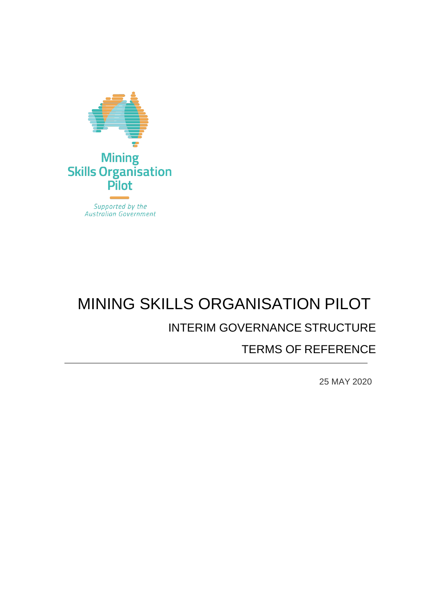

# MINING SKILLS ORGANISATION PILOT INTERIM GOVERNANCE STRUCTURE

# TERMS OF REFERENCE

25 MAY 2020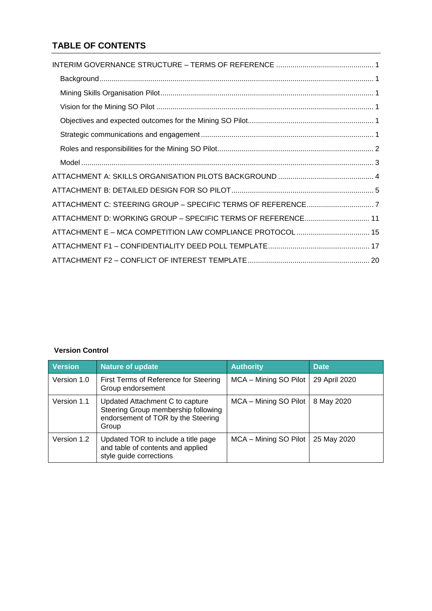# **TABLE OF CONTENTS**

| ATTACHMENT D: WORKING GROUP - SPECIFIC TERMS OF REFERENCE 11 |
|--------------------------------------------------------------|
|                                                              |
|                                                              |
|                                                              |

# **Version Control**

| <b>Version</b> | Nature of update                                                                                                      | <b>Authority</b>      | <b>Date</b>   |
|----------------|-----------------------------------------------------------------------------------------------------------------------|-----------------------|---------------|
| Version 1.0    | First Terms of Reference for Steering<br>Group endorsement                                                            | MCA - Mining SO Pilot | 29 April 2020 |
| Version 1.1    | Updated Attachment C to capture<br>Steering Group membership following<br>endorsement of TOR by the Steering<br>Group | MCA - Mining SO Pilot | 8 May 2020    |
| Version 1.2    | Updated TOR to include a title page<br>and table of contents and applied<br>style guide corrections                   | MCA - Mining SO Pilot | 25 May 2020   |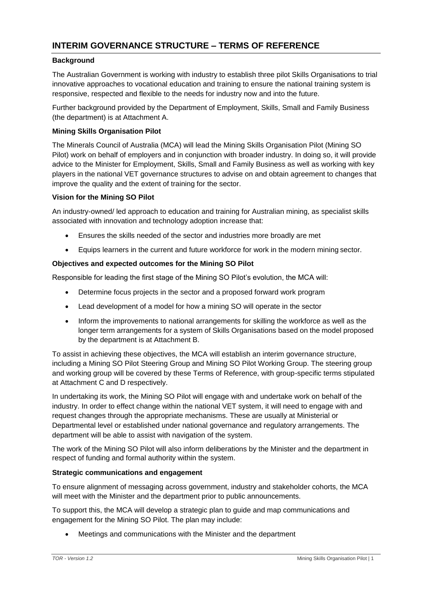### <span id="page-2-1"></span><span id="page-2-0"></span>**Background**

The Australian Government is working with industry to establish three pilot Skills Organisations to trial innovative approaches to vocational education and training to ensure the national training system is responsive, respected and flexible to the needs for industry now and into the future.

Further background provided by the Department of Employment, Skills, Small and Family Business (the department) is at Attachment A.

#### <span id="page-2-2"></span>**Mining Skills Organisation Pilot**

The Minerals Council of Australia (MCA) will lead the Mining Skills Organisation Pilot (Mining SO Pilot) work on behalf of employers and in conjunction with broader industry. In doing so, it will provide advice to the Minister for Employment, Skills, Small and Family Business as well as working with key players in the national VET governance structures to advise on and obtain agreement to changes that improve the quality and the extent of training for the sector.

# <span id="page-2-3"></span>**Vision for the Mining SO Pilot**

An industry-owned/ led approach to education and training for Australian mining, as specialist skills associated with innovation and technology adoption increase that:

- Ensures the skills needed of the sector and industries more broadly are met
- Equips learners in the current and future workforce for work in the modern miningsector.

# <span id="page-2-4"></span>**Objectives and expected outcomes for the Mining SO Pilot**

Responsible for leading the first stage of the Mining SO Pilot's evolution, the MCA will:

- Determine focus projects in the sector and a proposed forward work program
- Lead development of a model for how a mining SO will operate in the sector
- Inform the improvements to national arrangements for skilling the workforce as well as the longer term arrangements for a system of Skills Organisations based on the model proposed by the department is at Attachment B.

To assist in achieving these objectives, the MCA will establish an interim governance structure, including a Mining SO Pilot Steering Group and Mining SO Pilot Working Group. The steering group and working group will be covered by these Terms of Reference, with group-specific terms stipulated at Attachment C and D respectively.

In undertaking its work, the Mining SO Pilot will engage with and undertake work on behalf of the industry. In order to effect change within the national VET system, it will need to engage with and request changes through the appropriate mechanisms. These are usually at Ministerial or Departmental level or established under national governance and regulatory arrangements. The department will be able to assist with navigation of the system.

The work of the Mining SO Pilot will also inform deliberations by the Minister and the department in respect of funding and formal authority within the system.

#### <span id="page-2-5"></span>**Strategic communications and engagement**

To ensure alignment of messaging across government, industry and stakeholder cohorts, the MCA will meet with the Minister and the department prior to public announcements.

To support this, the MCA will develop a strategic plan to guide and map communications and engagement for the Mining SO Pilot. The plan may include:

Meetings and communications with the Minister and the department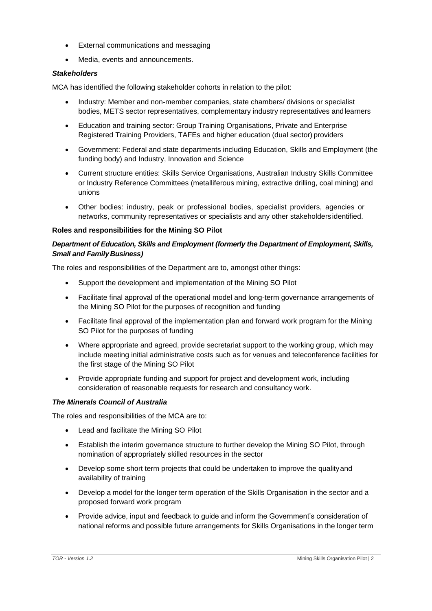- External communications and messaging
- Media, events and announcements.

#### *Stakeholders*

MCA has identified the following stakeholder cohorts in relation to the pilot:

- Industry: Member and non-member companies, state chambers/ divisions or specialist bodies, METS sector representatives, complementary industry representatives andlearners
- Education and training sector: Group Training Organisations, Private and Enterprise Registered Training Providers, TAFEs and higher education (dual sector) providers
- Government: Federal and state departments including Education, Skills and Employment (the funding body) and Industry, Innovation and Science
- Current structure entities: Skills Service Organisations, Australian Industry Skills Committee or Industry Reference Committees (metalliferous mining, extractive drilling, coal mining) and unions
- Other bodies: industry, peak or professional bodies, specialist providers, agencies or networks, community representatives or specialists and any other stakeholdersidentified.

# <span id="page-3-0"></span>**Roles and responsibilities for the Mining SO Pilot**

# *Department of Education, Skills and Employment (formerly the Department of Employment, Skills, Small and Family Business)*

The roles and responsibilities of the Department are to, amongst other things:

- Support the development and implementation of the Mining SO Pilot
- Facilitate final approval of the operational model and long-term governance arrangements of the Mining SO Pilot for the purposes of recognition and funding
- Facilitate final approval of the implementation plan and forward work program for the Mining SO Pilot for the purposes of funding
- Where appropriate and agreed, provide secretariat support to the working group, which may include meeting initial administrative costs such as for venues and teleconference facilities for the first stage of the Mining SO Pilot
- Provide appropriate funding and support for project and development work, including consideration of reasonable requests for research and consultancy work.

# *The Minerals Council of Australia*

The roles and responsibilities of the MCA are to:

- Lead and facilitate the Mining SO Pilot
- Establish the interim governance structure to further develop the Mining SO Pilot, through nomination of appropriately skilled resources in the sector
- Develop some short term projects that could be undertaken to improve the qualityand availability of training
- Develop a model for the longer term operation of the Skills Organisation in the sector and a proposed forward work program
- Provide advice, input and feedback to guide and inform the Government's consideration of national reforms and possible future arrangements for Skills Organisations in the longer term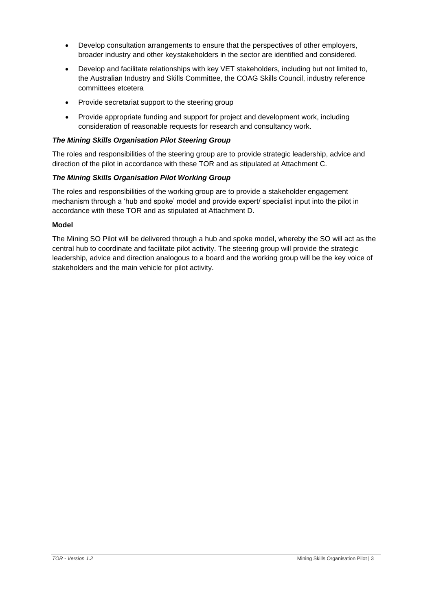- Develop consultation arrangements to ensure that the perspectives of other employers, broader industry and other keystakeholders in the sector are identified and considered.
- Develop and facilitate relationships with key VET stakeholders, including but not limited to, the Australian Industry and Skills Committee, the COAG Skills Council, industry reference committees etcetera
- Provide secretariat support to the steering group
- Provide appropriate funding and support for project and development work, including consideration of reasonable requests for research and consultancy work.

#### *The Mining Skills Organisation Pilot Steering Group*

The roles and responsibilities of the steering group are to provide strategic leadership, advice and direction of the pilot in accordance with these TOR and as stipulated at Attachment C.

#### *The Mining Skills Organisation Pilot Working Group*

The roles and responsibilities of the working group are to provide a stakeholder engagement mechanism through a 'hub and spoke' model and provide expert/ specialist input into the pilot in accordance with these TOR and as stipulated at Attachment D.

#### <span id="page-4-0"></span>**Model**

The Mining SO Pilot will be delivered through a hub and spoke model, whereby the SO will act as the central hub to coordinate and facilitate pilot activity. The steering group will provide the strategic leadership, advice and direction analogous to a board and the working group will be the key voice of stakeholders and the main vehicle for pilot activity.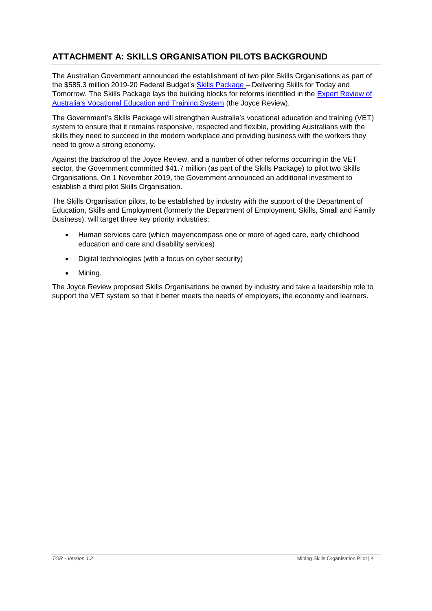# <span id="page-5-0"></span>**ATTACHMENT A: SKILLS ORGANISATION PILOTS BACKGROUND**

The Australian Government announced the establishment of two pilot Skills Organisations as part of the \$585.3 million 2019-20 Federal Budget's [Skills Package –](https://www.employment.gov.au/node/10312) Delivering Skills for Today and Tomorrow. The Skills Package lays the building blocks for reforms identified in the [Expert Review of](https://www.pmc.gov.au/resource-centre/domestic-policy/vet-review/strengthening-skills-expert-review-australias-vocational-education-and-training-system) [Australia's Vocational Education and Training System](https://www.pmc.gov.au/resource-centre/domestic-policy/vet-review/strengthening-skills-expert-review-australias-vocational-education-and-training-system) (the Joyce Review).

The Government's Skills Package will strengthen Australia's vocational education and training (VET) system to ensure that it remains responsive, respected and flexible, providing Australians with the skills they need to succeed in the modern workplace and providing business with the workers they need to grow a strong economy.

Against the backdrop of the Joyce Review, and a number of other reforms occurring in the VET sector, the Government committed \$41.7 million (as part of the Skills Package) to pilot two Skills Organisations. On 1 November 2019, the Government announced an additional investment to establish a third pilot Skills Organisation.

The Skills Organisation pilots, to be established by industry with the support of the Department of Education, Skills and Employment (formerly the Department of Employment, Skills, Small and Family Business), will target three key priority industries:

- Human services care (which mayencompass one or more of aged care, early childhood education and care and disability services)
- Digital technologies (with a focus on cyber security)
- Mining.

The Joyce Review proposed Skills Organisations be owned by industry and take a leadership role to support the VET system so that it better meets the needs of employers, the economy and learners.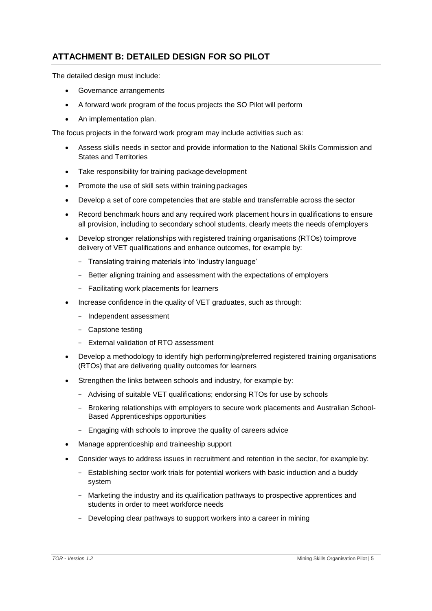# <span id="page-6-0"></span>**ATTACHMENT B: DETAILED DESIGN FOR SO PILOT**

The detailed design must include:

- Governance arrangements
- A forward work program of the focus projects the SO Pilot will perform
- An implementation plan.

The focus projects in the forward work program may include activities such as:

- Assess skills needs in sector and provide information to the National Skills Commission and States and Territories
- Take responsibility for training package development
- Promote the use of skill sets within training packages
- Develop a set of core competencies that are stable and transferrable across thesector
- Record benchmark hours and any required work placement hours in qualifications to ensure all provision, including to secondary school students, clearly meets the needs ofemployers
- Develop stronger relationships with registered training organisations (RTOs) toimprove delivery of VET qualifications and enhance outcomes, for example by:
	- Translating training materials into 'industry language'
	- Better aligning training and assessment with the expectations of employers
	- Facilitating work placements for learners
- Increase confidence in the quality of VET graduates, such as through:
	- Independent assessment
	- Capstone testing
	- External validation of RTO assessment
- Develop a methodology to identify high performing/preferred registered training organisations (RTOs) that are delivering quality outcomes for learners
- Strengthen the links between schools and industry, for example by:
	- Advising of suitable VET qualifications; endorsing RTOs for use by schools
	- Brokering relationships with employers to secure work placements and Australian School-Based Apprenticeships opportunities
	- Engaging with schools to improve the quality of careers advice
- Manage apprenticeship and traineeship support
- Consider ways to address issues in recruitment and retention in the sector, for exampleby:
	- Establishing sector work trials for potential workers with basic induction and a buddy system
	- Marketing the industry and its qualification pathways to prospective apprentices and students in order to meet workforce needs
	- Developing clear pathways to support workers into a career in mining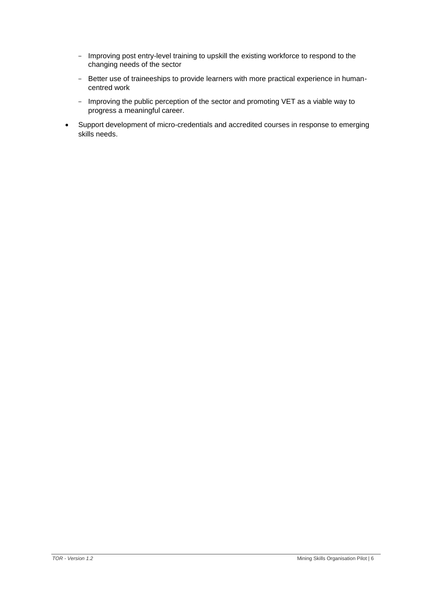- Improving post entry-level training to upskill the existing workforce to respond to the changing needs of the sector
- Better use of traineeships to provide learners with more practical experience in humancentred work
- Improving the public perception of the sector and promoting VET as a viable way to progress a meaningful career.
- Support development of micro-credentials and accredited courses in response to emerging skills needs.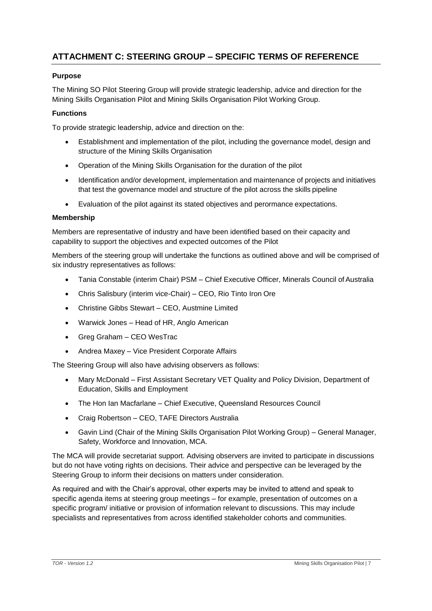# <span id="page-8-0"></span>**ATTACHMENT C: STEERING GROUP – SPECIFIC TERMS OF REFERENCE**

# **Purpose**

The Mining SO Pilot Steering Group will provide strategic leadership, advice and direction for the Mining Skills Organisation Pilot and Mining Skills Organisation Pilot Working Group.

#### **Functions**

To provide strategic leadership, advice and direction on the:

- Establishment and implementation of the pilot, including the governance model, design and structure of the Mining Skills Organisation
- Operation of the Mining Skills Organisation for the duration of the pilot
- Identification and/or development, implementation and maintenance of projects and initiatives that test the governance model and structure of the pilot across the skills pipeline
- Evaluation of the pilot against its stated objectives and perormance expectations.

#### **Membership**

Members are representative of industry and have been identified based on their capacity and capability to support the objectives and expected outcomes of the Pilot

Members of the steering group will undertake the functions as outlined above and will be comprised of six industry representatives as follows:

- Tania Constable (interim Chair) PSM Chief Executive Officer, Minerals Council of Australia
- Chris Salisbury (interim vice-Chair) CEO, Rio Tinto Iron Ore
- Christine Gibbs Stewart CEO, Austmine Limited
- Warwick Jones Head of HR, Anglo American
- Greg Graham CEO WesTrac
- Andrea Maxey Vice President Corporate Affairs

The Steering Group will also have advising observers as follows:

- Mary McDonald First Assistant Secretary VET Quality and Policy Division, Department of Education, Skills and Employment
- The Hon Ian Macfarlane Chief Executive, Queensland Resources Council
- Craig Robertson CEO, TAFE Directors Australia
- Gavin Lind (Chair of the Mining Skills Organisation Pilot Working Group) General Manager, Safety, Workforce and Innovation, MCA.

The MCA will provide secretariat support. Advising observers are invited to participate in discussions but do not have voting rights on decisions. Their advice and perspective can be leveraged by the Steering Group to inform their decisions on matters under consideration.

As required and with the Chair's approval, other experts may be invited to attend and speak to specific agenda items at steering group meetings – for example, presentation of outcomes on a specific program/ initiative or provision of information relevant to discussions. This may include specialists and representatives from across identified stakeholder cohorts and communities.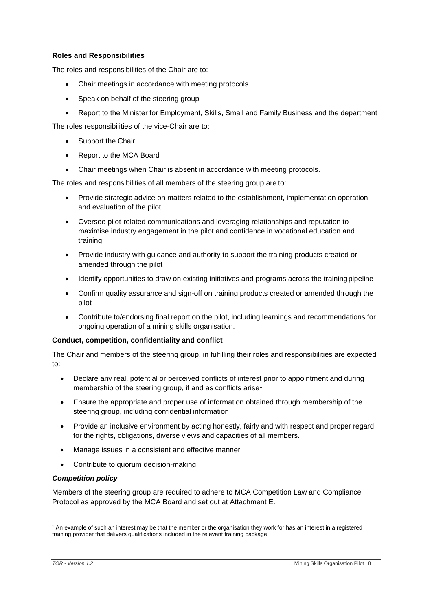#### **Roles and Responsibilities**

The roles and responsibilities of the Chair are to:

- Chair meetings in accordance with meeting protocols
- Speak on behalf of the steering group
- Report to the Minister for Employment, Skills, Small and Family Business and the department

The roles responsibilities of the vice-Chair are to:

- Support the Chair
- Report to the MCA Board
- Chair meetings when Chair is absent in accordance with meeting protocols.

The roles and responsibilities of all members of the steering group are to:

- Provide strategic advice on matters related to the establishment, implementation operation and evaluation of the pilot
- Oversee pilot-related communications and leveraging relationships and reputation to maximise industry engagement in the pilot and confidence in vocational education and training
- Provide industry with guidance and authority to support the training products created or amended through the pilot
- Identify opportunities to draw on existing initiatives and programs across the training pipeline
- Confirm quality assurance and sign-off on training products created or amended through the pilot
- Contribute to/endorsing final report on the pilot, including learnings and recommendations for ongoing operation of a mining skills organisation.

#### **Conduct, competition, confidentiality and conflict**

The Chair and members of the steering group, in fulfilling their roles and responsibilities are expected to:

- Declare any real, potential or perceived conflicts of interest prior to appointment and during membership of the steering group, if and as conflicts arise<sup>[1](#page-9-0)</sup>
- Ensure the appropriate and proper use of information obtained through membership of the steering group, including confidential information
- Provide an inclusive environment by acting honestly, fairly and with respect and proper regard for the rights, obligations, diverse views and capacities of all members.
- Manage issues in a consistent and effective manner
- Contribute to quorum decision-making.

#### *Competition policy*

Members of the steering group are required to adhere to MCA Competition Law and Compliance Protocol as approved by the MCA Board and set out at Attachment E.

<span id="page-9-0"></span><sup>1</sup> An example of such an interest may be that the member or the organisation they work for has an interest in a registered training provider that delivers qualifications included in the relevant training package.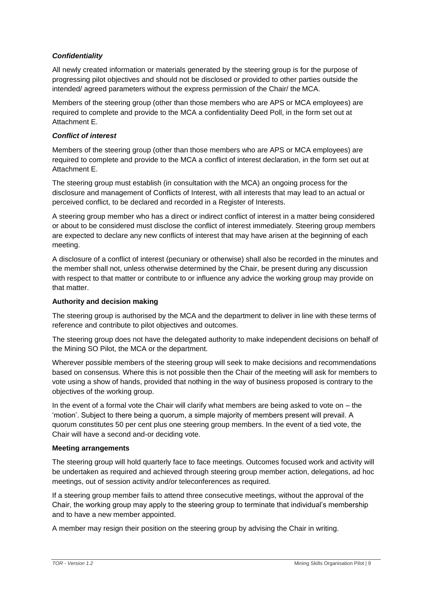# *Confidentiality*

All newly created information or materials generated by the steering group is for the purpose of progressing pilot objectives and should not be disclosed or provided to other parties outside the intended/ agreed parameters without the express permission of the Chair/ the MCA.

Members of the steering group (other than those members who are APS or MCA employees) are required to complete and provide to the MCA a confidentiality Deed Poll, in the form set out at Attachment E.

# *Conflict of interest*

Members of the steering group (other than those members who are APS or MCA employees) are required to complete and provide to the MCA a conflict of interest declaration, in the form set out at Attachment E.

The steering group must establish (in consultation with the MCA) an ongoing process for the disclosure and management of Conflicts of Interest, with all interests that may lead to an actual or perceived conflict, to be declared and recorded in a Register of Interests.

A steering group member who has a direct or indirect conflict of interest in a matter being considered or about to be considered must disclose the conflict of interest immediately. Steering group members are expected to declare any new conflicts of interest that may have arisen at the beginning of each meeting.

A disclosure of a conflict of interest (pecuniary or otherwise) shall also be recorded in the minutes and the member shall not, unless otherwise determined by the Chair, be present during any discussion with respect to that matter or contribute to or influence any advice the working group may provide on that matter.

# **Authority and decision making**

The steering group is authorised by the MCA and the department to deliver in line with these terms of reference and contribute to pilot objectives and outcomes.

The steering group does not have the delegated authority to make independent decisions on behalf of the Mining SO Pilot, the MCA or the department.

Wherever possible members of the steering group will seek to make decisions and recommendations based on consensus. Where this is not possible then the Chair of the meeting will ask for members to vote using a show of hands, provided that nothing in the way of business proposed is contrary to the objectives of the working group.

In the event of a formal vote the Chair will clarify what members are being asked to vote on – the 'motion'. Subject to there being a quorum, a simple majority of members present will prevail. A quorum constitutes 50 per cent plus one steering group members. In the event of a tied vote, the Chair will have a second and-or deciding vote.

# **Meeting arrangements**

The steering group will hold quarterly face to face meetings. Outcomes focused work and activity will be undertaken as required and achieved through steering group member action, delegations, ad hoc meetings, out of session activity and/or teleconferences as required.

If a steering group member fails to attend three consecutive meetings, without the approval of the Chair, the working group may apply to the steering group to terminate that individual's membership and to have a new member appointed.

A member may resign their position on the steering group by advising the Chair in writing.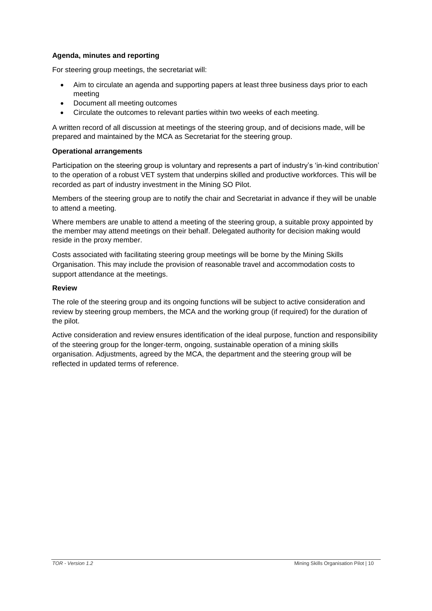# **Agenda, minutes and reporting**

For steering group meetings, the secretariat will:

- Aim to circulate an agenda and supporting papers at least three business days prior to each meeting
- Document all meeting outcomes
- Circulate the outcomes to relevant parties within two weeks of each meeting.

A written record of all discussion at meetings of the steering group, and of decisions made, will be prepared and maintained by the MCA as Secretariat for the steering group.

#### **Operational arrangements**

Participation on the steering group is voluntary and represents a part of industry's 'in-kind contribution' to the operation of a robust VET system that underpins skilled and productive workforces. This will be recorded as part of industry investment in the Mining SO Pilot.

Members of the steering group are to notify the chair and Secretariat in advance if they will be unable to attend a meeting.

Where members are unable to attend a meeting of the steering group, a suitable proxy appointed by the member may attend meetings on their behalf. Delegated authority for decision making would reside in the proxy member.

Costs associated with facilitating steering group meetings will be borne by the Mining Skills Organisation. This may include the provision of reasonable travel and accommodation costs to support attendance at the meetings.

#### **Review**

The role of the steering group and its ongoing functions will be subject to active consideration and review by steering group members, the MCA and the working group (if required) for the duration of the pilot.

Active consideration and review ensures identification of the ideal purpose, function and responsibility of the steering group for the longer-term, ongoing, sustainable operation of a mining skills organisation. Adjustments, agreed by the MCA, the department and the steering group will be reflected in updated terms of reference.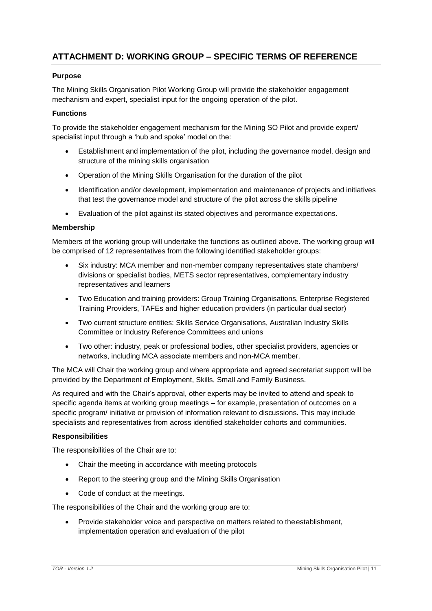# <span id="page-12-0"></span>**ATTACHMENT D: WORKING GROUP – SPECIFIC TERMS OF REFERENCE**

# **Purpose**

The Mining Skills Organisation Pilot Working Group will provide the stakeholder engagement mechanism and expert, specialist input for the ongoing operation of the pilot.

#### **Functions**

To provide the stakeholder engagement mechanism for the Mining SO Pilot and provide expert/ specialist input through a 'hub and spoke' model on the:

- Establishment and implementation of the pilot, including the governance model, design and structure of the mining skills organisation
- Operation of the Mining Skills Organisation for the duration of the pilot
- Identification and/or development, implementation and maintenance of projects and initiatives that test the governance model and structure of the pilot across the skills pipeline
- Evaluation of the pilot against its stated objectives and perormance expectations.

#### **Membership**

Members of the working group will undertake the functions as outlined above. The working group will be comprised of 12 representatives from the following identified stakeholder groups:

- Six industry: MCA member and non-member company representatives state chambers/ divisions or specialist bodies, METS sector representatives, complementary industry representatives and learners
- Two Education and training providers: Group Training Organisations, Enterprise Registered Training Providers, TAFEs and higher education providers (in particular dual sector)
- Two current structure entities: Skills Service Organisations, Australian Industry Skills Committee or Industry Reference Committees and unions
- Two other: industry, peak or professional bodies, other specialist providers, agencies or networks, including MCA associate members and non-MCA member.

The MCA will Chair the working group and where appropriate and agreed secretariat support will be provided by the Department of Employment, Skills, Small and Family Business.

As required and with the Chair's approval, other experts may be invited to attend and speak to specific agenda items at working group meetings – for example, presentation of outcomes on a specific program/ initiative or provision of information relevant to discussions. This may include specialists and representatives from across identified stakeholder cohorts and communities.

#### **Responsibilities**

The responsibilities of the Chair are to:

- Chair the meeting in accordance with meeting protocols
- Report to the steering group and the Mining Skills Organisation
- Code of conduct at the meetings.

The responsibilities of the Chair and the working group are to:

 Provide stakeholder voice and perspective on matters related to theestablishment, implementation operation and evaluation of the pilot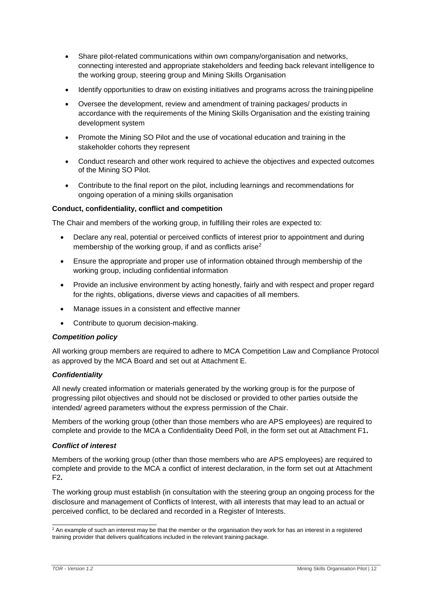- Share pilot-related communications within own company/organisation and networks, connecting interested and appropriate stakeholders and feeding back relevant intelligence to the working group, steering group and Mining Skills Organisation
- Identify opportunities to draw on existing initiatives and programs across the training pipeline
- Oversee the development, review and amendment of training packages/ products in accordance with the requirements of the Mining Skills Organisation and the existing training development system
- Promote the Mining SO Pilot and the use of vocational education and training in the stakeholder cohorts they represent
- Conduct research and other work required to achieve the objectives and expected outcomes of the Mining SO Pilot.
- Contribute to the final report on the pilot, including learnings and recommendations for ongoing operation of a mining skills organisation

#### **Conduct, confidentiality, conflict and competition**

The Chair and members of the working group, in fulfilling their roles are expected to:

- Declare any real, potential or perceived conflicts of interest prior to appointment and during membership of the working group, if and as conflicts arise<sup>[2](#page-13-0)</sup>
- Ensure the appropriate and proper use of information obtained through membership of the working group, including confidential information
- Provide an inclusive environment by acting honestly, fairly and with respect and proper regard for the rights, obligations, diverse views and capacities of all members.
- Manage issues in a consistent and effective manner
- Contribute to quorum decision-making.

#### *Competition policy*

All working group members are required to adhere to MCA Competition Law and Compliance Protocol as approved by the MCA Board and set out at Attachment E.

#### *Confidentiality*

All newly created information or materials generated by the working group is for the purpose of progressing pilot objectives and should not be disclosed or provided to other parties outside the intended/ agreed parameters without the express permission of the Chair.

Members of the working group (other than those members who are APS employees) are required to complete and provide to the MCA a Confidentiality Deed Poll, in the form set out at Attachment F1**.**

#### *Conflict of interest*

Members of the working group (other than those members who are APS employees) are required to complete and provide to the MCA a conflict of interest declaration, in the form set out at Attachment F2**.**

The working group must establish (in consultation with the steering group an ongoing process for the disclosure and management of Conflicts of Interest, with all interests that may lead to an actual or perceived conflict, to be declared and recorded in a Register of Interests.

<span id="page-13-0"></span> $\frac{2}{3}$  An example of such an interest may be that the member or the organisation they work for has an interest in a registered training provider that delivers qualifications included in the relevant training package.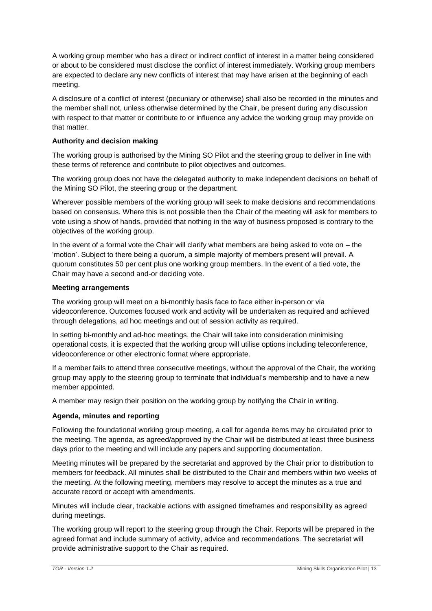A working group member who has a direct or indirect conflict of interest in a matter being considered or about to be considered must disclose the conflict of interest immediately. Working group members are expected to declare any new conflicts of interest that may have arisen at the beginning of each meeting.

A disclosure of a conflict of interest (pecuniary or otherwise) shall also be recorded in the minutes and the member shall not, unless otherwise determined by the Chair, be present during any discussion with respect to that matter or contribute to or influence any advice the working group may provide on that matter.

# **Authority and decision making**

The working group is authorised by the Mining SO Pilot and the steering group to deliver in line with these terms of reference and contribute to pilot objectives and outcomes.

The working group does not have the delegated authority to make independent decisions on behalf of the Mining SO Pilot, the steering group or the department.

Wherever possible members of the working group will seek to make decisions and recommendations based on consensus. Where this is not possible then the Chair of the meeting will ask for members to vote using a show of hands, provided that nothing in the way of business proposed is contrary to the objectives of the working group.

In the event of a formal vote the Chair will clarify what members are being asked to vote on – the 'motion'. Subject to there being a quorum, a simple majority of members present will prevail. A quorum constitutes 50 per cent plus one working group members. In the event of a tied vote, the Chair may have a second and-or deciding vote.

#### **Meeting arrangements**

The working group will meet on a bi-monthly basis face to face either in-person or via videoconference. Outcomes focused work and activity will be undertaken as required and achieved through delegations, ad hoc meetings and out of session activity as required.

In setting bi-monthly and ad-hoc meetings, the Chair will take into consideration minimising operational costs, it is expected that the working group will utilise options including teleconference, videoconference or other electronic format where appropriate.

If a member fails to attend three consecutive meetings, without the approval of the Chair, the working group may apply to the steering group to terminate that individual's membership and to have a new member appointed.

A member may resign their position on the working group by notifying the Chair in writing.

# **Agenda, minutes and reporting**

Following the foundational working group meeting, a call for agenda items may be circulated prior to the meeting. The agenda, as agreed/approved by the Chair will be distributed at least three business days prior to the meeting and will include any papers and supporting documentation.

Meeting minutes will be prepared by the secretariat and approved by the Chair prior to distribution to members for feedback. All minutes shall be distributed to the Chair and members within two weeks of the meeting. At the following meeting, members may resolve to accept the minutes as a true and accurate record or accept with amendments.

Minutes will include clear, trackable actions with assigned timeframes and responsibility as agreed during meetings.

The working group will report to the steering group through the Chair. Reports will be prepared in the agreed format and include summary of activity, advice and recommendations. The secretariat will provide administrative support to the Chair as required.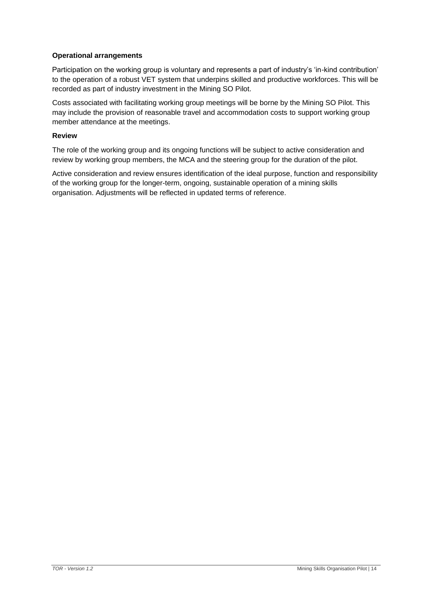# **Operational arrangements**

Participation on the working group is voluntary and represents a part of industry's 'in-kind contribution' to the operation of a robust VET system that underpins skilled and productive workforces. This will be recorded as part of industry investment in the Mining SO Pilot.

Costs associated with facilitating working group meetings will be borne by the Mining SO Pilot. This may include the provision of reasonable travel and accommodation costs to support working group member attendance at the meetings.

#### **Review**

The role of the working group and its ongoing functions will be subject to active consideration and review by working group members, the MCA and the steering group for the duration of the pilot.

Active consideration and review ensures identification of the ideal purpose, function and responsibility of the working group for the longer-term, ongoing, sustainable operation of a mining skills organisation. Adjustments will be reflected in updated terms of reference.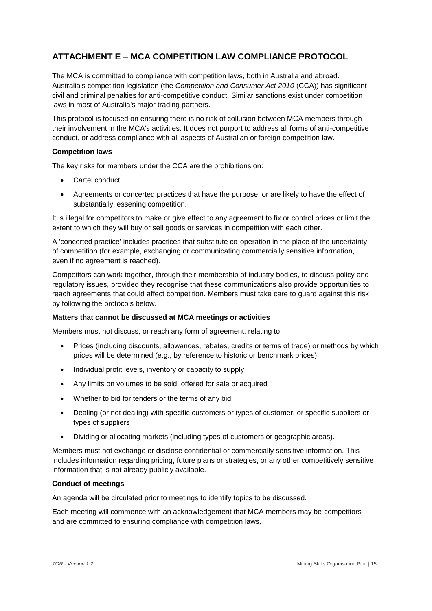# <span id="page-16-0"></span>**ATTACHMENT E – MCA COMPETITION LAW COMPLIANCE PROTOCOL**

The MCA is committed to compliance with competition laws, both in Australia and abroad. Australia's competition legislation (the *Competition and Consumer Act 2010* (CCA)) has significant civil and criminal penalties for anti-competitive conduct. Similar sanctions exist under competition laws in most of Australia's major trading partners.

This protocol is focused on ensuring there is no risk of collusion between MCA members through their involvement in the MCA's activities. It does not purport to address all forms of anti-competitive conduct, or address compliance with all aspects of Australian or foreign competition law.

### **Competition laws**

The key risks for members under the CCA are the prohibitions on:

- Cartel conduct
- Agreements or concerted practices that have the purpose, or are likely to have the effect of substantially lessening competition.

It is illegal for competitors to make or give effect to any agreement to fix or control prices or limit the extent to which they will buy or sell goods or services in competition with each other.

A 'concerted practice' includes practices that substitute co-operation in the place of the uncertainty of competition (for example, exchanging or communicating commercially sensitive information, even if no agreement is reached).

Competitors can work together, through their membership of industry bodies, to discuss policy and regulatory issues, provided they recognise that these communications also provide opportunities to reach agreements that could affect competition. Members must take care to guard against this risk by following the protocols below.

#### **Matters that cannot be discussed at MCA meetings or activities**

Members must not discuss, or reach any form of agreement, relating to:

- Prices (including discounts, allowances, rebates, credits or terms of trade) or methods by which prices will be determined (e.g., by reference to historic or benchmark prices)
- Individual profit levels, inventory or capacity to supply
- Any limits on volumes to be sold, offered for sale or acquired
- Whether to bid for tenders or the terms of any bid
- Dealing (or not dealing) with specific customers or types of customer, or specific suppliers or types of suppliers
- Dividing or allocating markets (including types of customers or geographic areas).

Members must not exchange or disclose confidential or commercially sensitive information. This includes information regarding pricing, future plans or strategies, or any other competitively sensitive information that is not already publicly available.

#### **Conduct of meetings**

An agenda will be circulated prior to meetings to identify topics to be discussed.

Each meeting will commence with an acknowledgement that MCA members may be competitors and are committed to ensuring compliance with competition laws.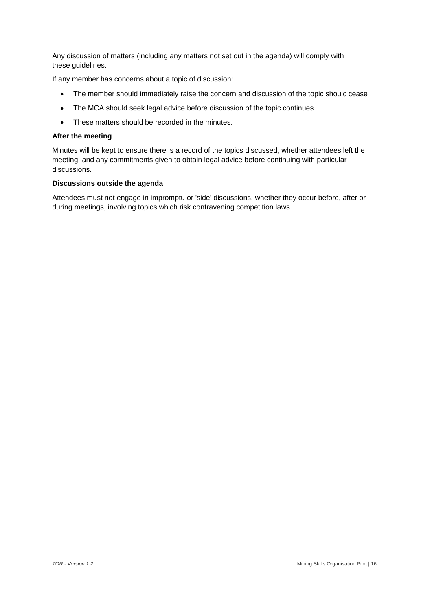Any discussion of matters (including any matters not set out in the agenda) will comply with these guidelines.

If any member has concerns about a topic of discussion:

- The member should immediately raise the concern and discussion of the topic should cease
- The MCA should seek legal advice before discussion of the topic continues
- These matters should be recorded in the minutes.

#### **After the meeting**

Minutes will be kept to ensure there is a record of the topics discussed, whether attendees left the meeting, and any commitments given to obtain legal advice before continuing with particular discussions.

#### **Discussions outside the agenda**

Attendees must not engage in impromptu or 'side' discussions, whether they occur before, after or during meetings, involving topics which risk contravening competition laws.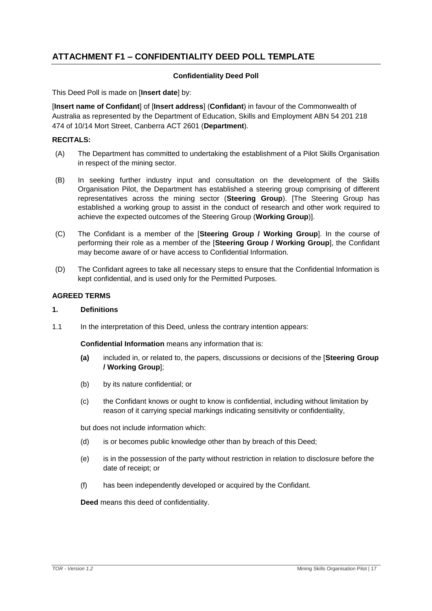# <span id="page-18-0"></span>**ATTACHMENT F1 – CONFIDENTIALITY DEED POLL TEMPLATE**

#### **Confidentiality Deed Poll**

This Deed Poll is made on [**Insert date**] by:

[**Insert name of Confidant**] of [**Insert address**] (**Confidant**) in favour of the Commonwealth of Australia as represented by the Department of Education, Skills and Employment ABN 54 201 218 474 of 10/14 Mort Street, Canberra ACT 2601 (**Department**).

# **RECITALS:**

- (A) The Department has committed to undertaking the establishment of a Pilot Skills Organisation in respect of the mining sector.
- (B) In seeking further industry input and consultation on the development of the Skills Organisation Pilot, the Department has established a steering group comprising of different representatives across the mining sector (**Steering Group**). [The Steering Group has established a working group to assist in the conduct of research and other work required to achieve the expected outcomes of the Steering Group (**Working Group**)].
- (C) The Confidant is a member of the [**Steering Group / Working Group**]. In the course of performing their role as a member of the [**Steering Group / Working Group**], the Confidant may become aware of or have access to Confidential Information.
- (D) The Confidant agrees to take all necessary steps to ensure that the Confidential Information is kept confidential, and is used only for the Permitted Purposes.

#### **AGREED TERMS**

#### **1. Definitions**

1.1 In the interpretation of this Deed, unless the contrary intention appears:

**Confidential Information** means any information that is:

- **(a)** included in, or related to, the papers, discussions or decisions of the [**Steering Group / Working Group**];
- (b) by its nature confidential; or
- (c) the Confidant knows or ought to know is confidential, including without limitation by reason of it carrying special markings indicating sensitivity or confidentiality,

but does not include information which:

- (d) is or becomes public knowledge other than by breach of this Deed;
- (e) is in the possession of the party without restriction in relation to disclosure before the date of receipt; or
- (f) has been independently developed or acquired by the Confidant.

**Deed** means this deed of confidentiality.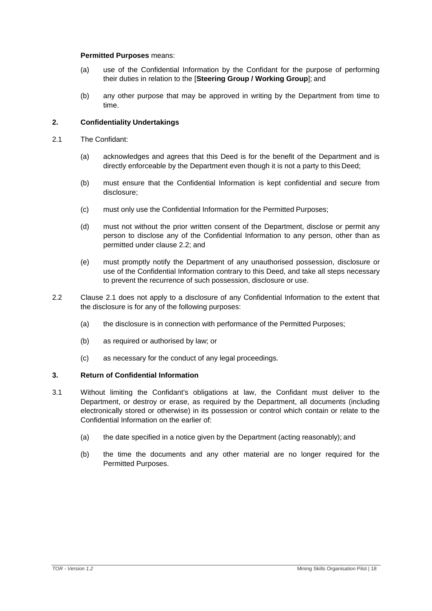#### **Permitted Purposes** means:

- (a) use of the Confidential Information by the Confidant for the purpose of performing their duties in relation to the [**Steering Group / Working Group**]; and
- (b) any other purpose that may be approved in writing by the Department from time to time.

#### **2. Confidentiality Undertakings**

- <span id="page-19-1"></span>2.1 The Confidant:
	- (a) acknowledges and agrees that this Deed is for the benefit of the Department and is directly enforceable by the Department even though it is not a party to this Deed;
	- (b) must ensure that the Confidential Information is kept confidential and secure from disclosure;
	- (c) must only use the Confidential Information for the Permitted Purposes;
	- (d) must not without the prior written consent of the Department, disclose or permit any person to disclose any of the Confidential Information to any person, other than as permitted under clause [2.2;](#page-19-0) and
	- (e) must promptly notify the Department of any unauthorised possession, disclosure or use of the Confidential Information contrary to this Deed, and take all steps necessary to prevent the recurrence of such possession, disclosure or use.
- <span id="page-19-0"></span>2.2 Clause [2.1 d](#page-19-1)oes not apply to a disclosure of any Confidential Information to the extent that the disclosure is for any of the following purposes:
	- (a) the disclosure is in connection with performance of the Permitted Purposes;
	- (b) as required or authorised by law; or
	- (c) as necessary for the conduct of any legal proceedings.

#### **3. Return of Confidential Information**

- 3.1 Without limiting the Confidant's obligations at law, the Confidant must deliver to the Department, or destroy or erase, as required by the Department, all documents (including electronically stored or otherwise) in its possession or control which contain or relate to the Confidential Information on the earlier of:
	- (a) the date specified in a notice given by the Department (acting reasonably); and
	- (b) the time the documents and any other material are no longer required for the Permitted Purposes.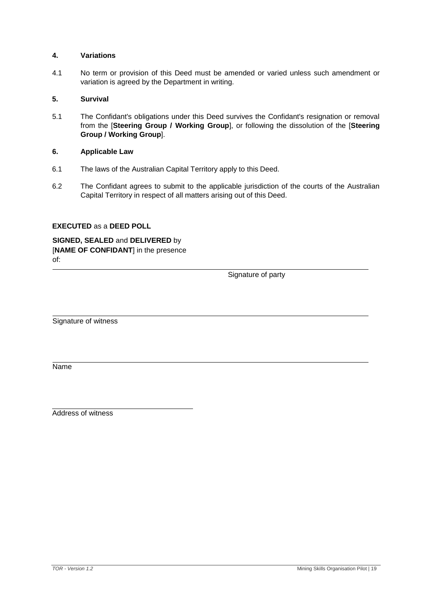#### **4. Variations**

4.1 No term or provision of this Deed must be amended or varied unless such amendment or variation is agreed by the Department in writing.

#### **5. Survival**

5.1 The Confidant's obligations under this Deed survives the Confidant's resignation or removal from the [**Steering Group / Working Group**], or following the dissolution of the [**Steering Group / Working Group**].

#### **6. Applicable Law**

- 6.1 The laws of the Australian Capital Territory apply to this Deed.
- 6.2 The Confidant agrees to submit to the applicable jurisdiction of the courts of the Australian Capital Territory in respect of all matters arising out of this Deed.

#### **EXECUTED** as a **DEED POLL**

**SIGNED, SEALED** and **DELIVERED** by [**NAME OF CONFIDANT**] in the presence of:

Signature of party

Signature of witness

Name

Address of witness